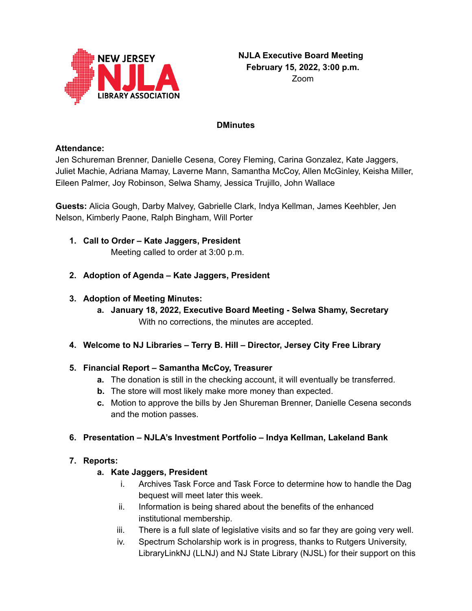

#### **DMinutes**

#### **Attendance:**

Jen Schureman Brenner, Danielle Cesena, Corey Fleming, Carina Gonzalez, Kate Jaggers, Juliet Machie, Adriana Mamay, Laverne Mann, Samantha McCoy, Allen McGinley, Keisha Miller, Eileen Palmer, Joy Robinson, Selwa Shamy, Jessica Trujillo, John Wallace

**Guests:** Alicia Gough, Darby Malvey, Gabrielle Clark, Indya Kellman, James Keehbler, Jen Nelson, Kimberly Paone, Ralph Bingham, Will Porter

- **1. Call to Order – Kate Jaggers, President** Meeting called to order at 3:00 p.m.
- **2. Adoption of Agenda – Kate Jaggers, President**
- **3. Adoption of Meeting Minutes:**
	- **a. January 18, 2022, Executive Board Meeting - Selwa Shamy, Secretary** With no corrections, the minutes are accepted.
- **4. Welcome to NJ Libraries – Terry B. Hill – Director, Jersey City Free Library**

### **5. Financial Report – Samantha McCoy, Treasurer**

- **a.** The donation is still in the checking account, it will eventually be transferred.
- **b.** The store will most likely make more money than expected.
- **c.** Motion to approve the bills by Jen Shureman Brenner, Danielle Cesena seconds and the motion passes.
- **6. Presentation – NJLA's Investment Portfolio – Indya Kellman, Lakeland Bank**

# **7. Reports:**

### **a. Kate Jaggers, President**

- i. Archives Task Force and Task Force to determine how to handle the Dag bequest will meet later this week.
- ii. Information is being shared about the benefits of the enhanced institutional membership.
- iii. There is a full slate of legislative visits and so far they are going very well.
- iv. Spectrum Scholarship work is in progress, thanks to Rutgers University, LibraryLinkNJ (LLNJ) and NJ State Library (NJSL) for their support on this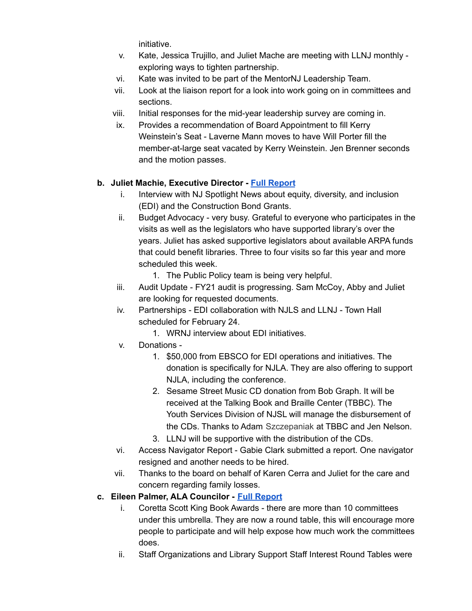initiative.

- v. Kate, Jessica Trujillo, and Juliet Mache are meeting with LLNJ monthly exploring ways to tighten partnership.
- vi. Kate was invited to be part of the MentorNJ Leadership Team.
- vii. Look at the liaison report for a look into work going on in committees and sections.
- viii. Initial responses for the mid-year leadership survey are coming in.
- ix. Provides a recommendation of Board Appointment to fill Kerry Weinstein's Seat - Laverne Mann moves to have Will Porter fill the member-at-large seat vacated by Kerry Weinstein. Jen Brenner seconds and the motion passes.

# **b. Juliet Machie, Executive Director - Full [Report](https://njla.memberclicks.net/assets/Exec_Board_Minutes_Docs/Board_Docs_2021-22/Exec%20Dir%20Report%20Feburary%202022.pdf)**

- i. Interview with NJ Spotlight News about equity, diversity, and inclusion (EDI) and the Construction Bond Grants.
- ii. Budget Advocacy very busy. Grateful to everyone who participates in the visits as well as the legislators who have supported library's over the years. Juliet has asked supportive legislators about available ARPA funds that could benefit libraries. Three to four visits so far this year and more scheduled this week.
	- 1. The Public Policy team is being very helpful.
- iii. Audit Update FY21 audit is progressing. Sam McCoy, Abby and Juliet are looking for requested documents.
- iv. Partnerships EDI collaboration with NJLS and LLNJ Town Hall scheduled for February 24.
	- 1. WRNJ interview about EDI initiatives.
- v. Donations
	- 1. \$50,000 from EBSCO for EDI operations and initiatives. The donation is specifically for NJLA. They are also offering to support NJLA, including the conference.
	- 2. Sesame Street Music CD donation from Bob Graph. It will be received at the Talking Book and Braille Center (TBBC). The Youth Services Division of NJSL will manage the disbursement of the CDs. Thanks to Adam Szczepaniak at TBBC and Jen Nelson.
	- 3. LLNJ will be supportive with the distribution of the CDs.
- vi. Access Navigator Report Gabie Clark submitted a report. One navigator resigned and another needs to be hired.
- vii. Thanks to the board on behalf of Karen Cerra and Juliet for the care and concern regarding family losses.
- **c. Eileen Palmer, ALA Councilor - Full [Report](https://njla.memberclicks.net/assets/Exec_Board_Minutes_Docs/Board_Docs_2021-22/ALA%20Chapter%20Councilor%20Report%20February%202022.pdf)**
	- i. Coretta Scott King Book Awards there are more than 10 committees under this umbrella. They are now a round table, this will encourage more people to participate and will help expose how much work the committees does.
	- ii. Staff Organizations and Library Support Staff Interest Round Tables were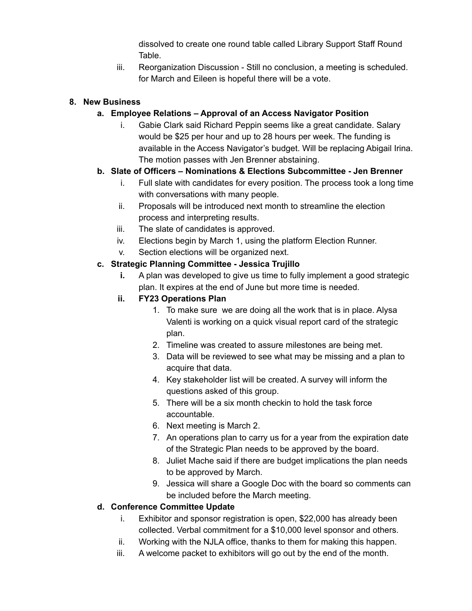dissolved to create one round table called Library Support Staff Round Table.

iii. Reorganization Discussion - Still no conclusion, a meeting is scheduled. for March and Eileen is hopeful there will be a vote.

## **8. New Business**

# **a. Employee Relations – Approval of an Access Navigator Position**

i. Gabie Clark said Richard Peppin seems like a great candidate. Salary would be \$25 per hour and up to 28 hours per week. The funding is available in the Access Navigator's budget. Will be replacing Abigail Irina. The motion passes with Jen Brenner abstaining.

# **b. Slate of Officers – Nominations & Elections Subcommittee - Jen Brenner**

- i. Full slate with candidates for every position. The process took a long time with conversations with many people.
- ii. Proposals will be introduced next month to streamline the election process and interpreting results.
- iii. The slate of candidates is approved.
- iv. Elections begin by March 1, using the platform Election Runner.
- v. Section elections will be organized next.

### **c. Strategic Planning Committee - Jessica Trujillo**

**i.** A plan was developed to give us time to fully implement a good strategic plan. It expires at the end of June but more time is needed.

### **ii. FY23 Operations Plan**

- 1. To make sure we are doing all the work that is in place. Alysa Valenti is working on a quick visual report card of the strategic plan.
- 2. Timeline was created to assure milestones are being met.
- 3. Data will be reviewed to see what may be missing and a plan to acquire that data.
- 4. Key stakeholder list will be created. A survey will inform the questions asked of this group.
- 5. There will be a six month checkin to hold the task force accountable.
- 6. Next meeting is March 2.
- 7. An operations plan to carry us for a year from the expiration date of the Strategic Plan needs to be approved by the board.
- 8. Juliet Mache said if there are budget implications the plan needs to be approved by March.
- 9. Jessica will share a Google Doc with the board so comments can be included before the March meeting.

# **d. Conference Committee Update**

- i. Exhibitor and sponsor registration is open, \$22,000 has already been collected. Verbal commitment for a \$10,000 level sponsor and others.
- ii. Working with the NJLA office, thanks to them for making this happen.
- iii. A welcome packet to exhibitors will go out by the end of the month.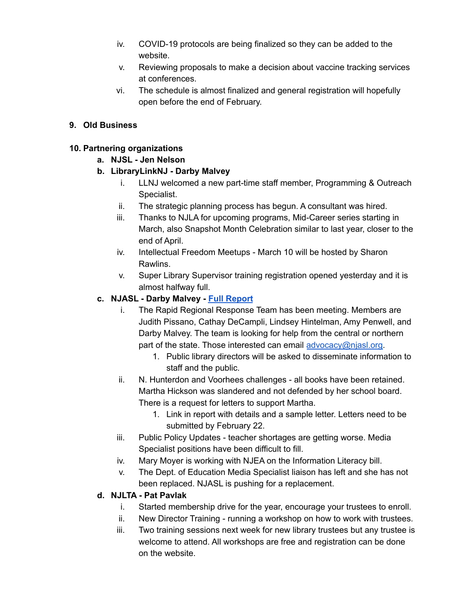- iv. COVID-19 protocols are being finalized so they can be added to the website.
- v. Reviewing proposals to make a decision about vaccine tracking services at conferences.
- vi. The schedule is almost finalized and general registration will hopefully open before the end of February.

## **9. Old Business**

### **10. Partnering organizations**

- **a. NJSL - Jen Nelson**
- **b. LibraryLinkNJ - Darby Malvey**
	- i. LLNJ welcomed a new part-time staff member, Programming & Outreach Specialist.
	- ii. The strategic planning process has begun. A consultant was hired.
	- iii. Thanks to NJLA for upcoming programs, Mid-Career series starting in March, also Snapshot Month Celebration similar to last year, closer to the end of April.
	- iv. Intellectual Freedom Meetups March 10 will be hosted by Sharon Rawlins.
	- v. Super Library Supervisor training registration opened yesterday and it is almost halfway full.

# **c. NJASL - Darby Malvey - Full [Report](https://njla.memberclicks.net/assets/Exec_Board_Minutes_Docs/Board_Docs_2021-22/NJASL%20Liaison%20Report%20February%202022.pdf)**

- i. The Rapid Regional Response Team has been meeting. Members are Judith Pissano, Cathay DeCampli, Lindsey Hintelman, Amy Penwell, and Darby Malvey. The team is looking for help from the central or northern part of the state. Those interested can email [advocacy@njasl.org.](mailto:advocacy@njasl.org)
	- 1. Public library directors will be asked to disseminate information to staff and the public.
- ii. N. Hunterdon and Voorhees challenges all books have been retained. Martha Hickson was slandered and not defended by her school board. There is a request for letters to support Martha.
	- 1. Link in report with details and a sample letter. Letters need to be submitted by February 22.
- iii. Public Policy Updates teacher shortages are getting worse. Media Specialist positions have been difficult to fill.
- iv. Mary Moyer is working with NJEA on the Information Literacy bill.
- v. The Dept. of Education Media Specialist liaison has left and she has not been replaced. NJASL is pushing for a replacement.

### **d. NJLTA - Pat Pavlak**

- i. Started membership drive for the year, encourage your trustees to enroll.
- ii. New Director Training running a workshop on how to work with trustees.
- iii. Two training sessions next week for new library trustees but any trustee is welcome to attend. All workshops are free and registration can be done on the website.